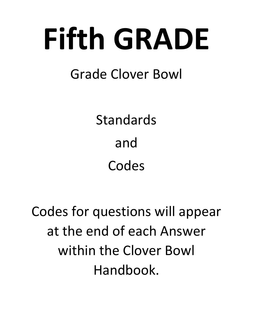# Fifth GRADE

# Grade Clover Bowl

Standards and Codes

Codes for questions will appear at the end of each Answer within the Clover Bowl Handbook.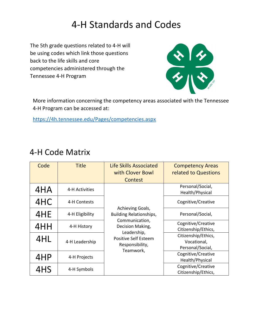# 4‐H Standards and Codes

The 5th grade questions related to 4‐H will be using codes which link those questions back to the life skills and core competencies administered through the Tennessee 4‐H Program



More information concerning the competency areas associated with the Tennessee 4‐H Program can be accessed at:

https://4h.tennessee.edu/Pages/competencies.aspx

| Code | <b>Title</b>    | <b>Life Skills Associated</b><br>with Clover Bowl                          | <b>Competency Areas</b><br>related to Questions        |
|------|-----------------|----------------------------------------------------------------------------|--------------------------------------------------------|
|      |                 | Contest                                                                    |                                                        |
| 4HA  | 4-H Activities  | Achieving Goals,<br>Building Relationships,                                | Personal/Social,<br>Health/Physical                    |
| 4HC  | 4-H Contests    |                                                                            | Cognitive/Creative                                     |
| 4HE  | 4-H Eligibility |                                                                            | Personal/Social,                                       |
| 4HH  | 4-H History     | Communication,<br>Decision Making,                                         | Cognitive/Creative<br>Citizenship/Ethics,              |
| 4HL  | 4-H Leadership  | Leadership,<br><b>Positive Self Esteem</b><br>Responsibility,<br>Teamwork, | Citizenship/Ethics,<br>Vocational,<br>Personal/Social, |
| 4HP  | 4-H Projects    |                                                                            | Cognitive/Creative<br>Health/Physical                  |
| 4HS  | 4-H Symbols     |                                                                            | Cognitive/Creative<br>Citizenship/Ethics,              |

#### 4‐H Code Matrix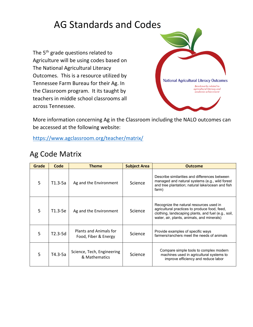# AG Standards and Codes

The 5<sup>th</sup> grade questions related to Agriculture will be using codes based on The National Agricultural Literacy Outcomes. This is a resource utilized by Tennessee Farm Bureau for their Ag. In the Classroom program. It its taught by teachers in middle school classrooms all across Tennessee.



More information concerning Ag in the Classroom including the NALO outcomes can be accessed at the following website:

https://www.agclassroom.org/teacher/matrix/

#### Ag Code Matrix

| Grade | Code      | <b>Theme</b>                                   | <b>Subject Area</b> | <b>Outcome</b>                                                                                                                                                                                |
|-------|-----------|------------------------------------------------|---------------------|-----------------------------------------------------------------------------------------------------------------------------------------------------------------------------------------------|
| 5     | $T1.3-5a$ | Ag and the Environment                         | Science             | Describe similarities and differences between<br>managed and natural systems (e.g., wild forest<br>and tree plantation; natural lake/ocean and fish<br>farm)                                  |
| 5     | T1.3-5e   | Ag and the Environment                         | Science             | Recognize the natural resources used in<br>agricultural practices to produce food, feed,<br>clothing, landscaping plants, and fuel (e.g., soil,<br>water, air, plants, animals, and minerals) |
| 5     | T2.3-5d   | Plants and Animals for<br>Food, Fiber & Energy | Science             | Provide examples of specific ways<br>farmers/ranchers meet the needs of animals                                                                                                               |
| 5     | $T4.3-5a$ | Science, Tech, Engineering<br>& Mathematics    | Science             | Compare simple tools to complex modern<br>machines used in agricultural systems to<br>improve efficiency and reduce labor                                                                     |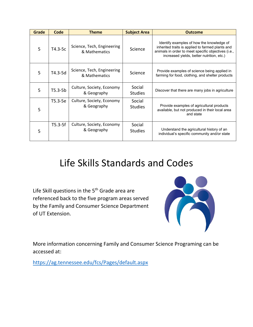| Grade | Code      | <b>Theme</b>                                | <b>Subject Area</b>      | <b>Outcome</b>                                                                                                                                                                                    |
|-------|-----------|---------------------------------------------|--------------------------|---------------------------------------------------------------------------------------------------------------------------------------------------------------------------------------------------|
| 5     | $T4.3-5c$ | Science, Tech, Engineering<br>& Mathematics | Science                  | Identify examples of how the knowledge of<br>inherited traits is applied to farmed plants and<br>animals in order to meet specific objectives (i.e.,<br>increased yields, better nutrition, etc.) |
| 5     | T4.3-5d   | Science, Tech, Engineering<br>& Mathematics | Science                  | Provide examples of science being applied in<br>farming for food, clothing, and shelter products                                                                                                  |
| 5     | $T5.3-5b$ | Culture, Society, Economy<br>& Geography    | Social<br><b>Studies</b> | Discover that there are many jobs in agriculture                                                                                                                                                  |
| 5     | T5.3-5e   | Culture, Society, Economy<br>& Geography    | Social<br><b>Studies</b> | Provide examples of agricultural products<br>available, but not produced in their local area<br>and state                                                                                         |
| 5     | $T5.3-5f$ | Culture, Society, Economy<br>& Geography    | Social<br><b>Studies</b> | Understand the agricultural history of an<br>individual's specific community and/or state                                                                                                         |

# Life Skills Standards and Codes

Life Skill questions in the 5<sup>th</sup> Grade area are referenced back to the five program areas served by the Family and Consumer Science Department of UT Extension.



More information concerning Family and Consumer Science Programing can be accessed at:

https://ag.tennessee.edu/fcs/Pages/default.aspx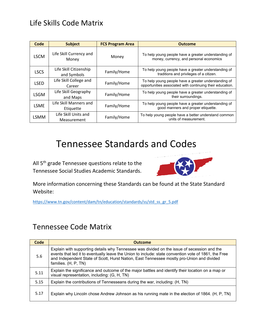#### Life Skills Code Matrix

| Code        | <b>Subject</b>                        | <b>FCS Program Area</b> | <b>Outcome</b>                                                                                                    |
|-------------|---------------------------------------|-------------------------|-------------------------------------------------------------------------------------------------------------------|
| <b>LSCM</b> | Life Skill Currency and<br>Money      | Money                   | To help young people have a greater understanding of<br>money, currency, and personal economics                   |
| <b>LSCS</b> | Life Skill Citizenship<br>and Symbols | Family/Home             | To help young people have a greater understanding of<br>traditions and privileges of a citizen.                   |
| <b>LSED</b> | Life Skill College and<br>Career      | Family/Home             | To help young people have a greater understanding of<br>opportunities associated with continuing their education. |
| LSGM        | Life Skill Geography<br>and Maps      | Family/Home             | To help young people have a greater understanding of<br>their surroundings.                                       |
| <b>LSME</b> | Life Skill Manners and<br>Etiquette   | Family/Home             | To help young people have a greater understanding of<br>good manners and proper etiquette.                        |
| LSMM        | Life Skill Units and<br>Measurement   | Family/Home             | To help young people have a better understand common<br>units of measurement.                                     |

### Tennessee Standards and Codes

All 5<sup>th</sup> grade Tennessee questions relate to the Tennessee Social Studies Academic Standards.



More information concerning these Standards can be found at the State Standard Website:

https://www.tn.gov/content/dam/tn/education/standards/ss/std\_ss\_gr\_5.pdf

#### Tennessee Code Matrix

| Code | <b>Outcome</b>                                                                                                                                                                                                                                                                                                           |
|------|--------------------------------------------------------------------------------------------------------------------------------------------------------------------------------------------------------------------------------------------------------------------------------------------------------------------------|
| 5.6  | Explain with supporting details why Tennessee was divided on the issue of secession and the<br>events that led it to eventually leave the Union to include: state convention vote of 1861, the Free<br>and Independent State of Scott, Hurst Nation, East Tennessee mostly pro-Union and divided<br>families. (H, P, TN) |
| 5.11 | Explain the significance and outcome of the major battles and identify their location on a map or<br>visual representation, including: (G, H, TN)                                                                                                                                                                        |
| 5.15 | Explain the contributions of Tennesseans during the war, including: (H, TN)                                                                                                                                                                                                                                              |
| 5.17 | Explain why Lincoln chose Andrew Johnson as his running mate in the election of 1864. (H, P, TN)                                                                                                                                                                                                                         |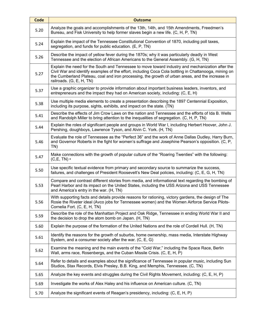| <b>Code</b> | <b>Outcome</b>                                                                                                                                                                                                                                                                                                                            |
|-------------|-------------------------------------------------------------------------------------------------------------------------------------------------------------------------------------------------------------------------------------------------------------------------------------------------------------------------------------------|
| 5.20        | Analyze the goals and accomplishments of the 13th, 14th, and 15th Amendments, Freedmen's<br>Bureau, and Fisk University to help former slaves begin a new life. (C, H, P, TN)                                                                                                                                                             |
| 5.24        | Explain the impact of the Tennessee Constitutional Convention of 1870, including poll taxes,<br>segregation, and funds for public education. (E, P, TN)                                                                                                                                                                                   |
| 5.26        | Describe the impact of yellow fever during the 1870s; why it was particularly deadly in West<br>Tennessee and the election of African Americans to the General Assembly. (G, H, TN)                                                                                                                                                       |
| 5.27        | Explain the need for the South and Tennessee to move toward industry and mechanization after the<br>Civil War and identify examples of the effort, including Coca Cola bottling in Chattanooga, mining on<br>the Cumberland Plateau, coal and iron processing, the growth of urban areas, and the increase in<br>railroads. (G, E, H, TN) |
| 5.37        | Use a graphic organizer to provide information about important business leaders, inventors, and<br>entrepreneurs and the impact they had on American society, including: (C, E, H)                                                                                                                                                        |
| 5.38        | Use multiple media elements to create a presentation describing the 1897 Centennial Exposition,<br>including its purpose, sights, exhibits, and impact on the state. (TN)                                                                                                                                                                 |
| 5.41        | Describe the effects of Jim Crow Laws on the nation and Tennessee and the efforts of Ida B. Wells<br>and Randolph Miller to bring attention to the inequalities of segregation. (C, H, P, TN)                                                                                                                                             |
| 5.44        | Explain the roles of significant people and groups in World War I, including Herbert Hoover, John J.<br>Pershing, doughboys, Lawrence Tyson, and Alvin C. York. (H, TN)                                                                                                                                                                   |
| 5.46        | Evaluate the role of Tennessee as the "Perfect 36" and the work of Anne Dallas Dudley, Harry Burn,<br>and Governor Roberts in the fight for women's suffrage and Josephine Pearson's opposition. (C, P,<br>TN)                                                                                                                            |
| 5.47        | Make connections with the growth of popular culture of the "Roaring Twenties" with the following:<br>$(C,E,TN)$ •                                                                                                                                                                                                                         |
| 5.50        | Use specific textual evidence from primary and secondary source to summarize the success,<br>failures, and challenges of President Roosevelt's New Deal policies, including: (C, E, G, H, TN)                                                                                                                                             |
| 5.53        | Compare and contrast different stories from media, and informational text regarding the bombing of<br>Pearl Harbor and its impact on the United States, including the USS Arizona and USS Tennessee<br>and America's entry in the war. (H, TN)                                                                                            |
| 5.56        | With supporting facts and details provide reasons for rationing, victory gardens, the design of The<br>Rosie the Riveter ideal (Avco jobs for Tennessee women) and the Women Airforce Service Pilots-<br>Cornelia Fort. (C, E, H, TN)                                                                                                     |
| 5.59        | Describe the role of the Manhattan Project and Oak Ridge, Tennessee in ending World War II and<br>the decision to drop the atom bomb on Japan. (H, TN)                                                                                                                                                                                    |
| 5.60        | Explain the purpose of the formation of the United Nations and the role of Cordell Hull. (H, TN)                                                                                                                                                                                                                                          |
| 5.61        | Identify the reasons for the growth of suburbs, home ownership, mass media, Interstate Highway<br>System, and a consumer society after the war. (C, E, G)                                                                                                                                                                                 |
| 5.62        | Examine the meaning and the main events of the "Cold War," including the Space Race, Berlin<br>Wall, arms race, Rosenbergs, and the Cuban Missile Crisis. (C, E, H, P)                                                                                                                                                                    |
| 5.64        | Refer to details and examples about the significance of Tennessee in popular music, including Sun<br>Studios, Stax Records, Elvis Presley, B.B. King, and Memphis, Tennessee. (C, TN)                                                                                                                                                     |
| 5.65        | Analyze the key events and struggles during the Civil Rights Movement, including: (C, E, H, P)                                                                                                                                                                                                                                            |
| 5.69        | Investigate the works of Alex Haley and his influence on American culture. (C, TN)                                                                                                                                                                                                                                                        |
| 5.70        | Analyze the significant events of Reagan's presidency, including: (C, E, H, P)                                                                                                                                                                                                                                                            |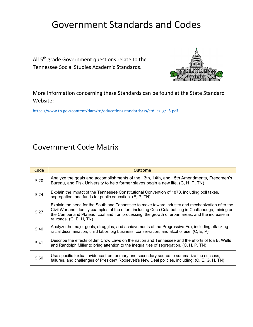## Government Standards and Codes

All 5<sup>th</sup> grade Government questions relate to the Tennessee Social Studies Academic Standards.



More information concerning these Standards can be found at the State Standard Website:

https://www.tn.gov/content/dam/tn/education/standards/ss/std\_ss\_gr\_5.pdf

#### Government Code Matrix

| Code | <b>Outcome</b>                                                                                                                                                                                                                                                                                                                            |
|------|-------------------------------------------------------------------------------------------------------------------------------------------------------------------------------------------------------------------------------------------------------------------------------------------------------------------------------------------|
| 5.20 | Analyze the goals and accomplishments of the 13th, 14th, and 15th Amendments, Freedmen's<br>Bureau, and Fisk University to help former slaves begin a new life. (C, H, P, TN)                                                                                                                                                             |
| 5.24 | Explain the impact of the Tennessee Constitutional Convention of 1870, including poll taxes,<br>segregation, and funds for public education. (E, P, TN)                                                                                                                                                                                   |
| 5.27 | Explain the need for the South and Tennessee to move toward industry and mechanization after the<br>Civil War and identify examples of the effort, including Coca Cola bottling in Chattanooga, mining on<br>the Cumberland Plateau, coal and iron processing, the growth of urban areas, and the increase in<br>railroads. (G, E, H, TN) |
| 5.40 | Analyze the major goals, struggles, and achievements of the Progressive Era, including attacking<br>racial discrimination, child labor, big business, conservation, and alcohol use: (C, E, P)                                                                                                                                            |
| 5.41 | Describe the effects of Jim Crow Laws on the nation and Tennessee and the efforts of Ida B. Wells<br>and Randolph Miller to bring attention to the inequalities of segregation. (C, H, P, TN)                                                                                                                                             |
| 5.50 | Use specific textual evidence from primary and secondary source to summarize the success,<br>failures, and challenges of President Roosevelt's New Deal policies, including: (C, E, G, H, TN)                                                                                                                                             |